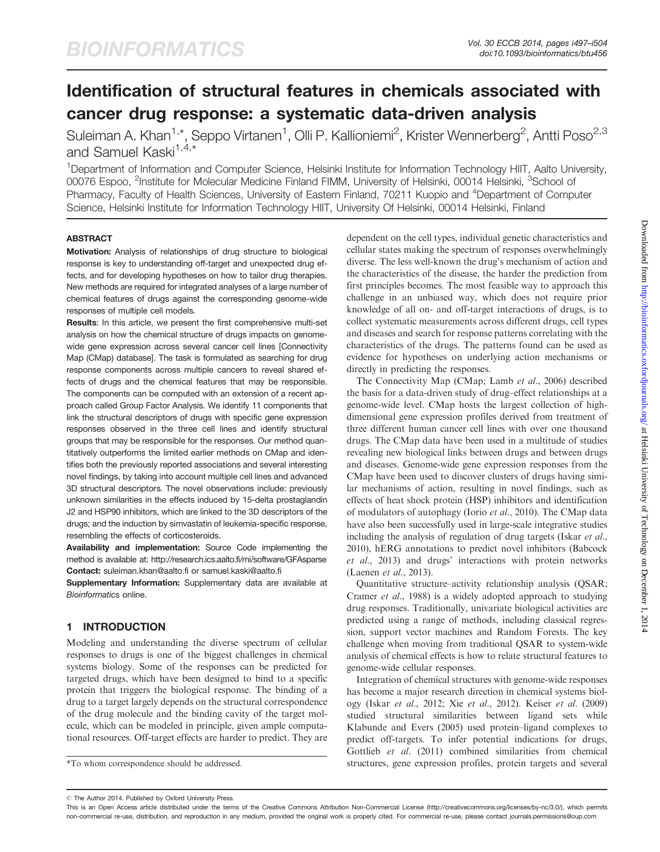# Identification of structural features in chemicals associated with cancer drug response: a systematic data-driven analysis

Suleiman A. Khan<sup>1,\*</sup>, Seppo Virtanen<sup>1</sup>, Olli P. Kallioniemi<sup>2</sup>, Krister Wennerberg<sup>2</sup>, Antti Poso<sup>2,3</sup> and Samuel Kaski<sup>1,4,\*</sup>

<sup>1</sup>Department of Information and Computer Science, Helsinki Institute for Information Technology HIIT, Aalto University, 00076 Espoo, <sup>2</sup>Institute for Molecular Medicine Finland FIMM, University of Helsinki, 00014 Helsinki, <sup>3</sup>School of Pharmacy, Faculty of Health Sciences, University of Eastern Finland, 70211 Kuopio and <sup>4</sup>Department of Computer Science, Helsinki Institute for Information Technology HIIT, University Of Helsinki, 00014 Helsinki, Finland

### **ABSTRACT**

Motivation: Analysis of relationships of drug structure to biological response is key to understanding off-target and unexpected drug effects, and for developing hypotheses on how to tailor drug therapies. New methods are required for integrated analyses of a large number of chemical features of drugs against the corresponding genome-wide responses of multiple cell models.

Results: In this article, we present the first comprehensive multi-set analysis on how the chemical structure of drugs impacts on genomewide gene expression across several cancer cell lines [Connectivity Map (CMap) database]. The task is formulated as searching for drug response components across multiple cancers to reveal shared effects of drugs and the chemical features that may be responsible. The components can be computed with an extension of a recent approach called Group Factor Analysis. We identify 11 components that link the structural descriptors of drugs with specific gene expression responses observed in the three cell lines and identify structural groups that may be responsible for the responses. Our method quantitatively outperforms the limited earlier methods on CMap and identifies both the previously reported associations and several interesting novel findings, by taking into account multiple cell lines and advanced 3D structural descriptors. The novel observations include: previously unknown similarities in the effects induced by 15-delta prostaglandin J2 and HSP90 inhibitors, which are linked to the 3D descriptors of the drugs; and the induction by simvastatin of leukemia-specific response, resembling the effects of corticosteroids.

Availability and implementation: Source Code implementing the method is available at:<http://research.ics.aalto.fi/mi/software/GFAsparse> Contact: [suleiman.khan@aalto.fi](mailto:suleiman.khan@aalto.fi) or [samuel.kaski@aalto.fi](mailto:samuel.kaski@aalto.fi)

Supplementary Information: [Supplementary data](http://bioinformatics.oxfordjournals.org/lookup/suppl/doi:10.1093/bioinformatics/btu456/-/DC1) are available at Bioinformatics online.

## 1 INTRODUCTION

Modeling and understanding the diverse spectrum of cellular responses to drugs is one of the biggest challenges in chemical systems biology. Some of the responses can be predicted for targeted drugs, which have been designed to bind to a specific protein that triggers the biological response. The binding of a drug to a target largely depends on the structural correspondence of the drug molecule and the binding cavity of the target molecule, which can be modeled in principle, given ample computational resources. Off-target effects are harder to predict. They are

dependent on the cell types, individual genetic characteristics and cellular states making the spectrum of responses overwhelmingly diverse. The less well-known the drug's mechanism of action and the characteristics of the disease, the harder the prediction from first principles becomes. The most feasible way to approach this challenge in an unbiased way, which does not require prior knowledge of all on- and off-target interactions of drugs, is to collect systematic measurements across different drugs, cell types and diseases and search for response patterns correlating with the characteristics of the drugs. The patterns found can be used as evidence for hypotheses on underlying action mechanisms or directly in predicting the responses.

The Connectivity Map (CMap; Lamb et al[., 2006](#page-7-0)) described the basis for a data-driven study of drug–effect relationships at a genome-wide level. CMap hosts the largest collection of highdimensional gene expression profiles derived from treatment of three different human cancer cell lines with over one thousand drugs. The CMap data have been used in a multitude of studies revealing new biological links between drugs and between drugs and diseases. Genome-wide gene expression responses from the CMap have been used to discover clusters of drugs having similar mechanisms of action, resulting in novel findings, such as effects of heat shock protein (HSP) inhibitors and identification of modulators of autophagy (Iorio [et al.,](#page-7-0) 2010). The CMap data have also been successfully used in large-scale integrative studies including the analysis of regulation of drug targets [\(Iskar](#page-7-0) et al., [2010](#page-7-0)), hERG annotations to predict novel inhibitors [\(Babcock](#page-7-0) et al.[, 2013\)](#page-7-0) and drugs' interactions with protein networks ([Laenen](#page-7-0) et al., 2013).

Quantitative structure–activity relationship analysis (QSAR; [Cramer](#page-7-0) et al., 1988) is a widely adopted approach to studying drug responses. Traditionally, univariate biological activities are predicted using a range of methods, including classical regression, support vector machines and Random Forests. The key challenge when moving from traditional QSAR to system-wide analysis of chemical effects is how to relate structural features to genome-wide cellular responses.

Integration of chemical structures with genome-wide responses has become a major research direction in chemical systems biology (Iskar et al.[, 2012](#page-7-0); Xie et al[., 2012](#page-7-0)). Keiser et al[. \(2009\)](#page-7-0) studied structural similarities between ligand sets while [Klabunde and Evers \(2005\)](#page-7-0) used protein–ligand complexes to predict off-targets. To infer potential indications for drugs, [Gottlieb](#page-7-0) et al. (2011) combined similarities from chemical \*To whom correspondence should be addressed. structures, gene expression profiles, protein targets and several

<sup>©</sup> The Author 2014. Published by Oxford University Press.

This is an Open Access article distributed under the terms of the Creative Commons Attribution Non-Commercial License (http://creativecommons.org/licenses/by-nc/3.0/), which permits non-commercial re-use, distribution, and reproduction in any medium, provided the original work is properly cited. For commercial re-use, please contact journals.permissions@oup.com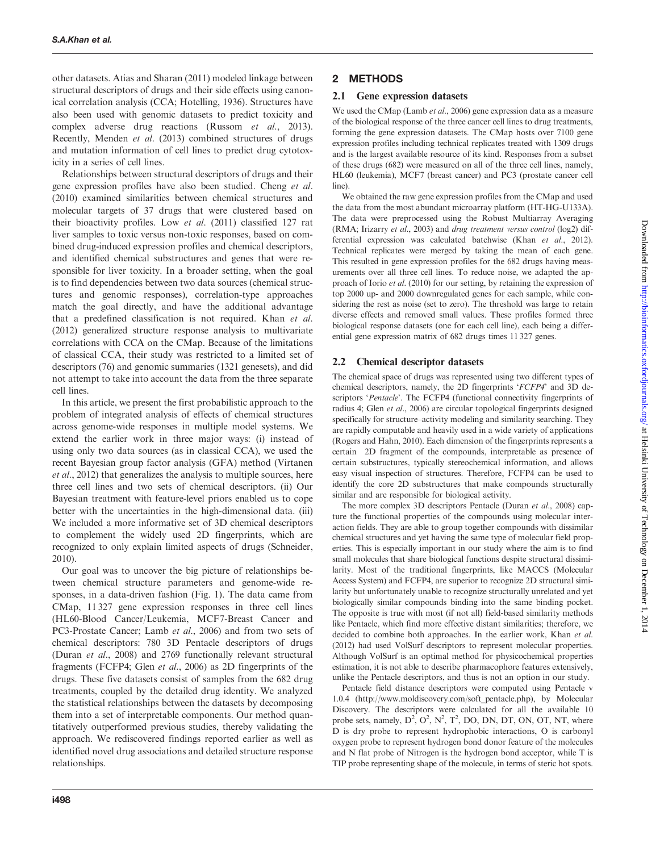other datasets. [Atias and Sharan \(2011\)](#page-7-0) modeled linkage between structural descriptors of drugs and their side effects using canonical correlation analysis (CCA; [Hotelling, 1936](#page-7-0)). Structures have also been used with genomic datasets to predict toxicity and complex adverse drug reactions (Russom et al[., 2013](#page-7-0)). Recently, [Menden](#page-7-0) et al. (2013) combined structures of drugs and mutation information of cell lines to predict drug cytotoxicity in a series of cell lines.

Relationships between structural descriptors of drugs and their gene expression profiles have also been studied. [Cheng](#page-7-0) et al. [\(2010\)](#page-7-0) examined similarities between chemical structures and molecular targets of 37 drugs that were clustered based on their bioactivity profiles. Low et al[. \(2011\)](#page-7-0) classified 127 rat liver samples to toxic versus non-toxic responses, based on combined drug-induced expression profiles and chemical descriptors, and identified chemical substructures and genes that were responsible for liver toxicity. In a broader setting, when the goal is to find dependencies between two data sources (chemical structures and genomic responses), correlation-type approaches match the goal directly, and have the additional advantage that a predefined classification is not required. [Khan](#page-7-0) et al. [\(2012\)](#page-7-0) generalized structure response analysis to multivariate correlations with CCA on the CMap. Because of the limitations of classical CCA, their study was restricted to a limited set of descriptors (76) and genomic summaries (1321 genesets), and did not attempt to take into account the data from the three separate cell lines.

In this article, we present the first probabilistic approach to the problem of integrated analysis of effects of chemical structures across genome-wide responses in multiple model systems. We extend the earlier work in three major ways: (i) instead of using only two data sources (as in classical CCA), we used the recent Bayesian group factor analysis (GFA) method ([Virtanen](#page-7-0) et al[., 2012\)](#page-7-0) that generalizes the analysis to multiple sources, here three cell lines and two sets of chemical descriptors. (ii) Our Bayesian treatment with feature-level priors enabled us to cope better with the uncertainties in the high-dimensional data. (iii) We included a more informative set of 3D chemical descriptors to complement the widely used 2D fingerprints, which are recognized to only explain limited aspects of drugs ([Schneider,](#page-7-0) [2010\)](#page-7-0).

Our goal was to uncover the big picture of relationships between chemical structure parameters and genome-wide responses, in a data-driven fashion ([Fig. 1](#page-2-0)). The data came from CMap, 11 327 gene expression responses in three cell lines (HL60-Blood Cancer/Leukemia, MCF7-Breast Cancer and PC3-Prostate Cancer; Lamb et al[., 2006](#page-7-0)) and from two sets of chemical descriptors: 780 3D Pentacle descriptors of drugs (Duran et al[., 2008](#page-7-0)) and 2769 functionally relevant structural fragments (FCFP4; Glen et al[., 2006](#page-7-0)) as 2D fingerprints of the drugs. These five datasets consist of samples from the 682 drug treatments, coupled by the detailed drug identity. We analyzed the statistical relationships between the datasets by decomposing them into a set of interpretable components. Our method quantitatively outperformed previous studies, thereby validating the approach. We rediscovered findings reported earlier as well as identified novel drug associations and detailed structure response relationships.

## 2 METHODS

## 2.1 Gene expression datasets

We used the CMap (Lamb et al[., 2006\)](#page-7-0) gene expression data as a measure of the biological response of the three cancer cell lines to drug treatments, forming the gene expression datasets. The CMap hosts over 7100 gene expression profiles including technical replicates treated with 1309 drugs and is the largest available resource of its kind. Responses from a subset of these drugs (682) were measured on all of the three cell lines, namely, HL60 (leukemia), MCF7 (breast cancer) and PC3 (prostate cancer cell line).

We obtained the raw gene expression profiles from the CMap and used the data from the most abundant microarray platform (HT-HG-U133A). The data were preprocessed using the Robust Multiarray Averaging (RMA; [Irizarry](#page-7-0) et al., 2003) and drug treatment versus control (log2) differential expression was calculated batchwise (Khan et al[., 2012\)](#page-7-0). Technical replicates were merged by taking the mean of each gene. This resulted in gene expression profiles for the 682 drugs having measurements over all three cell lines. To reduce noise, we adapted the approach of Iorio et al. [\(2010\)](#page-7-0) for our setting, by retaining the expression of top 2000 up- and 2000 downregulated genes for each sample, while considering the rest as noise (set to zero). The threshold was large to retain diverse effects and removed small values. These profiles formed three biological response datasets (one for each cell line), each being a differential gene expression matrix of 682 drugs times 11 327 genes.

## 2.2 Chemical descriptor datasets

The chemical space of drugs was represented using two different types of chemical descriptors, namely, the 2D fingerprints 'FCFP4' and 3D descriptors 'Pentacle'. The FCFP4 (functional connectivity fingerprints of radius 4; Glen et al.[, 2006\)](#page-7-0) are circular topological fingerprints designed specifically for structure–activity modeling and similarity searching. They are rapidly computable and heavily used in a wide variety of applications [\(Rogers and Hahn, 2010](#page-7-0)). Each dimension of the fingerprints represents a certain 2D fragment of the compounds, interpretable as presence of certain substructures, typically stereochemical information, and allows easy visual inspection of structures. Therefore, FCFP4 can be used to identify the core 2D substructures that make compounds structurally similar and are responsible for biological activity.

The more complex 3D descriptors Pentacle [\(Duran](#page-7-0) et al., 2008) capture the functional properties of the compounds using molecular interaction fields. They are able to group together compounds with dissimilar chemical structures and yet having the same type of molecular field properties. This is especially important in our study where the aim is to find small molecules that share biological functions despite structural dissimilarity. Most of the traditional fingerprints, like MACCS (Molecular Access System) and FCFP4, are superior to recognize 2D structural similarity but unfortunately unable to recognize structurally unrelated and yet biologically similar compounds binding into the same binding pocket. The opposite is true with most (if not all) field-based similarity methods like Pentacle, which find more effective distant similarities; therefore, we decided to combine both approaches. In the earlier work, [Khan](#page-7-0) et al. [\(2012\)](#page-7-0) had used VolSurf descriptors to represent molecular properties. Although VolSurf is an optimal method for physicochemical properties estimation, it is not able to describe pharmacophore features extensively, unlike the Pentacle descriptors, and thus is not an option in our study.

Pentacle field distance descriptors were computed using Pentacle v 1.0.4 [\(http://www.moldiscovery.com/soft\\_pentacle.php](http://www.moldiscovery.com/soft_pentacle.php)), by Molecular Discovery. The descriptors were calculated for all the available 10 probe sets, namely,  $D^2$ ,  $O^2$ ,  $N^2$ ,  $T^2$ , DO, DN, DT, ON, OT, NT, where D is dry probe to represent hydrophobic interactions, O is carbonyl oxygen probe to represent hydrogen bond donor feature of the molecules and N flat probe of Nitrogen is the hydrogen bond acceptor, while T is TIP probe representing shape of the molecule, in terms of steric hot spots.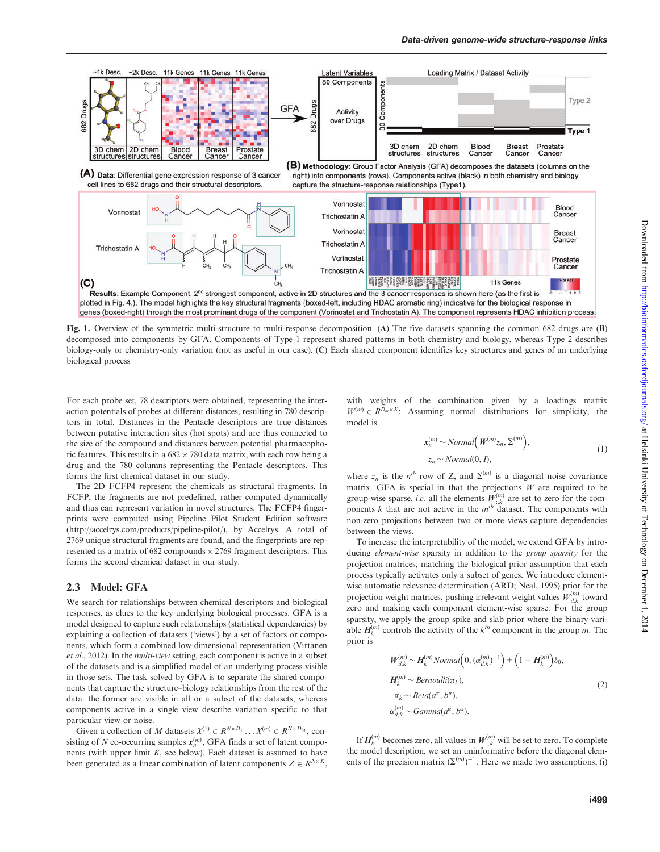<span id="page-2-0"></span>

Fig. 1. Overview of the symmetric multi-structure to multi-response decomposition. (A) The five datasets spanning the common 682 drugs are (B) decomposed into components by GFA. Components of Type 1 represent shared patterns in both chemistry and biology, whereas Type 2 describes biology-only or chemistry-only variation (not as useful in our case). (C) Each shared component identifies key structures and genes of an underlying biological process

For each probe set, 78 descriptors were obtained, representing the interaction potentials of probes at different distances, resulting in 780 descriptors in total. Distances in the Pentacle descriptors are true distances between putative interaction sites (hot spots) and are thus connected to the size of the compound and distances between potential pharmacophoric features. This results in a  $682 \times 780$  data matrix, with each row being a drug and the 780 columns representing the Pentacle descriptors. This forms the first chemical dataset in our study.

The 2D FCFP4 represent the chemicals as structural fragments. In FCFP, the fragments are not predefined, rather computed dynamically and thus can represent variation in novel structures. The FCFP4 fingerprints were computed using Pipeline Pilot Student Edition software [\(http://accelrys.com/products/pipeline-pilot/\)](http://accelrys.com/products/pipeline-pilot/), by Accelrys. A total of 2769 unique structural fragments are found, and the fingerprints are represented as a matrix of 682 compounds  $\times$  2769 fragment descriptors. This forms the second chemical dataset in our study.

### 2.3 Model: GFA

We search for relationships between chemical descriptors and biological responses, as clues to the key underlying biological processes. GFA is a model designed to capture such relationships (statistical dependencies) by explaining a collection of datasets ('views') by a set of factors or components, which form a combined low-dimensional representation ([Virtanen](#page-7-0) et al[., 2012](#page-7-0)). In the multi-view setting, each component is active in a subset of the datasets and is a simplified model of an underlying process visible in those sets. The task solved by GFA is to separate the shared components that capture the structure–biology relationships from the rest of the data: the former are visible in all or a subset of the datasets, whereas components active in a single view describe variation specific to that particular view or noise.

Given a collection of M datasets  $X^{(1)} \in R^{N \times D_1} \dots X^{(m)} \in R^{N \times D_M}$ , consisting of N co-occurring samples  $x_n^{(m)}$ , GFA finds a set of latent components (with upper limit  $K$ , see below). Each dataset is assumed to have been generated as a linear combination of latent components  $Z \in R^{N \times K}$ ,

with weights of the combination given by a loadings matrix  $W^{(m)} \in R^{D_m \times K}$ : Assuming normal distributions for simplicity, the model is

$$
x_n^{(m)} \sim Normal(W^{(m)}z_n, \Sigma^{(m)}),
$$
  
\n
$$
z_n \sim Normal(0, I),
$$
 (1)

where  $z_n$  is the  $n^{th}$  row of Z, and  $\Sigma^{(m)}$  is a diagonal noise covariance matrix. GFA is special in that the projections  $W$  are required to be group-wise sparse, *i.e.* all the elements  $W_{:,k}^{(m)}$  are set to zero for the components  $k$  that are not active in the  $m<sup>th</sup>$  dataset. The components with non-zero projections between two or more views capture dependencies between the views.

To increase the interpretability of the model, we extend GFA by introducing element-wise sparsity in addition to the group sparsity for the projection matrices, matching the biological prior assumption that each process typically activates only a subset of genes. We introduce elementwise automatic relevance determination (ARD; [Neal, 1995](#page-7-0)) prior for the projection weight matrices, pushing irrelevant weight values  $W_{d,k}^{(m)}$  toward zero and making each component element-wise sparse. For the group sparsity, we apply the group spike and slab prior where the binary variable  $H_k^{(m)}$  controls the activity of the  $k^{th}$  component in the group m. The prior is

$$
W_{d,k}^{(m)} \sim H_k^{(m)} \text{Normal}\Big(0, (\alpha_{d,k}^{(m)})^{-1}\Big) + \Big(1 - H_k^{(m)}\Big)\delta_0,
$$
  
\n
$$
H_k^{(m)} \sim \text{Bernoulli}(\pi_k),
$$
  
\n
$$
\pi_k \sim \text{Beta}(\alpha^{\pi}, b^{\pi}),
$$
  
\n
$$
\alpha_{d,k}^{(m)} \sim \text{Gamma}(\alpha^{\alpha}, b^{\alpha}).
$$
\n(2)

If  $H_k^{(m)}$  becomes zero, all values in  $W_{:,k}^{(m)}$  will be set to zero. To complete the model description, we set an uninformative before the diagonal elements of the precision matrix  $(\Sigma^{(m)})^{-1}$ . Here we made two assumptions, (i)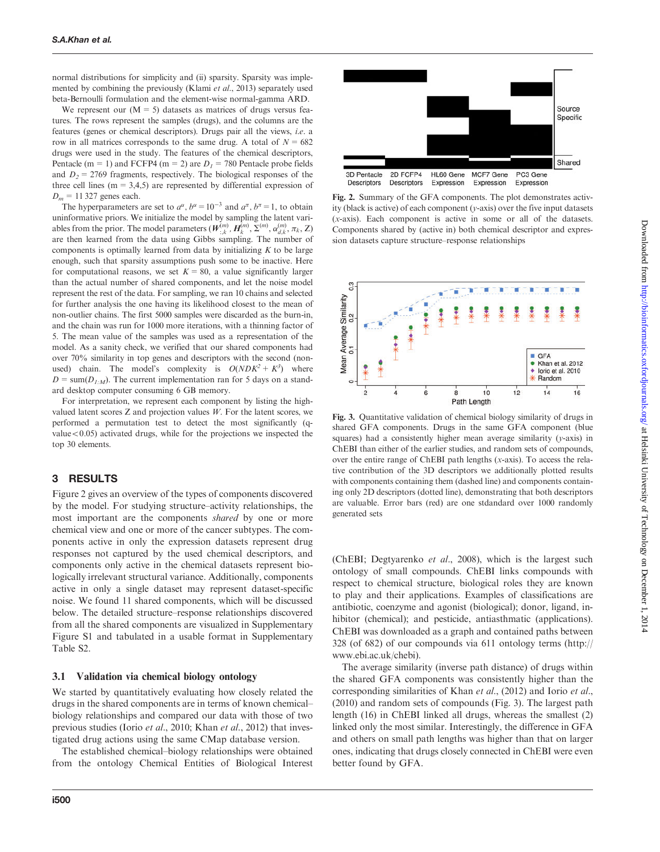normal distributions for simplicity and (ii) sparsity. Sparsity was implemented by combining the previously (Klami et al[., 2013\)](#page-7-0) separately used beta-Bernoulli formulation and the element-wise normal-gamma ARD.

We represent our  $(M = 5)$  datasets as matrices of drugs versus features. The rows represent the samples (drugs), and the columns are the features (genes or chemical descriptors). Drugs pair all the views, i.e. a row in all matrices corresponds to the same drug. A total of  $N = 682$ drugs were used in the study. The features of the chemical descriptors, Pentacle (m = 1) and FCFP4 (m = 2) are  $D_1 = 780$  Pentacle probe fields and  $D_2 = 2769$  fragments, respectively. The biological responses of the three cell lines ( $m = 3,4,5$ ) are represented by differential expression of  $D_m = 11327$  genes each.

The hyperparameters are set to  $a^{\alpha}$ ,  $b^{\alpha} = 10^{-3}$  and  $a^{\pi}$ ,  $b^{\pi} = 1$ , to obtain uninformative priors. We initialize the model by sampling the latent variables from the prior. The model parameters  $(W^{(m)}_{:,k}, H^{(m)}_k, \Sigma^{(m)}, \alpha^{(m)}_{d,k}, \pi_k, Z)$ are then learned from the data using Gibbs sampling. The number of components is optimally learned from data by initializing  $K$  to be large enough, such that sparsity assumptions push some to be inactive. Here for computational reasons, we set  $K = 80$ , a value significantly larger than the actual number of shared components, and let the noise model represent the rest of the data. For sampling, we ran 10 chains and selected for further analysis the one having its likelihood closest to the mean of non-outlier chains. The first 5000 samples were discarded as the burn-in, and the chain was run for 1000 more iterations, with a thinning factor of 5. The mean value of the samples was used as a representation of the model. As a sanity check, we verified that our shared components had over 70% similarity in top genes and descriptors with the second (nonused) chain. The model's complexity is  $O(NDK^2 + K^3)$  where  $D = \text{sum}(D_{1:M})$ . The current implementation ran for 5 days on a standard desktop computer consuming 6 GB memory.

For interpretation, we represent each component by listing the highvalued latent scores  $Z$  and projection values  $W$ . For the latent scores, we performed a permutation test to detect the most significantly (qvalue $<$ 0.05) activated drugs, while for the projections we inspected the top 30 elements.

### 3 RESULTS

Figure 2 gives an overview of the types of components discovered by the model. For studying structure–activity relationships, the most important are the components shared by one or more chemical view and one or more of the cancer subtypes. The components active in only the expression datasets represent drug responses not captured by the used chemical descriptors, and components only active in the chemical datasets represent biologically irrelevant structural variance. Additionally, components active in only a single dataset may represent dataset-specific noise. We found 11 shared components, which will be discussed below. The detailed structure–response relationships discovered from all the shared components are visualized in [Supplementary](http://bioinformatics.oxfordjournals.org/lookup/suppl/doi:10.1093/bioinformatics/btu456/-/DC1) [Figure S1](http://bioinformatics.oxfordjournals.org/lookup/suppl/doi:10.1093/bioinformatics/btu456/-/DC1) and tabulated in a usable format in [Supplementary](http://bioinformatics.oxfordjournals.org/lookup/suppl/doi:10.1093/bioinformatics/btu456/-/DC1) [Table S2.](http://bioinformatics.oxfordjournals.org/lookup/suppl/doi:10.1093/bioinformatics/btu456/-/DC1)

#### 3.1 Validation via chemical biology ontology

We started by quantitatively evaluating how closely related the drugs in the shared components are in terms of known chemical– biology relationships and compared our data with those of two previous studies (Iorio et al.[, 2010;](#page-7-0) Khan et al[., 2012\)](#page-7-0) that investigated drug actions using the same CMap database version.

The established chemical–biology relationships were obtained from the ontology Chemical Entities of Biological Interest



Fig. 2. Summary of the GFA components. The plot demonstrates activity (black is active) of each component ( $v$ -axis) over the five input datasets (x-axis). Each component is active in some or all of the datasets. Components shared by (active in) both chemical descriptor and expression datasets capture structure–response relationships



Fig. 3. Quantitative validation of chemical biology similarity of drugs in shared GFA components. Drugs in the same GFA component (blue squares) had a consistently higher mean average similarity  $(y-axis)$  in ChEBI than either of the earlier studies, and random sets of compounds, over the entire range of ChEBI path lengths  $(x-axis)$ . To access the relative contribution of the 3D descriptors we additionally plotted results with components containing them (dashed line) and components containing only 2D descriptors (dotted line), demonstrating that both descriptors are valuable. Error bars (red) are one stdandard over 1000 randomly generated sets

(ChEBI; [Degtyarenko](#page-7-0) et al., 2008), which is the largest such ontology of small compounds. ChEBI links compounds with respect to chemical structure, biological roles they are known to play and their applications. Examples of classifications are antibiotic, coenzyme and agonist (biological); donor, ligand, inhibitor (chemical); and pesticide, antiasthmatic (applications). ChEBI was downloaded as a graph and contained paths between 328 (of 682) of our compounds via 611 ontology terms [\(http://](http://www.ebi.ac.uk/chebi) [www.ebi.ac.uk/chebi\)](http://www.ebi.ac.uk/chebi).

The average similarity (inverse path distance) of drugs within the shared GFA components was consistently higher than the corresponding similarities of Khan et al[., \(2012\)](#page-7-0) and [Iorio](#page-7-0) et al., [\(2010\)](#page-7-0) and random sets of compounds (Fig. 3). The largest path length (16) in ChEBI linked all drugs, whereas the smallest (2) linked only the most similar. Interestingly, the difference in GFA and others on small path lengths was higher than that on larger ones, indicating that drugs closely connected in ChEBI were even better found by GFA.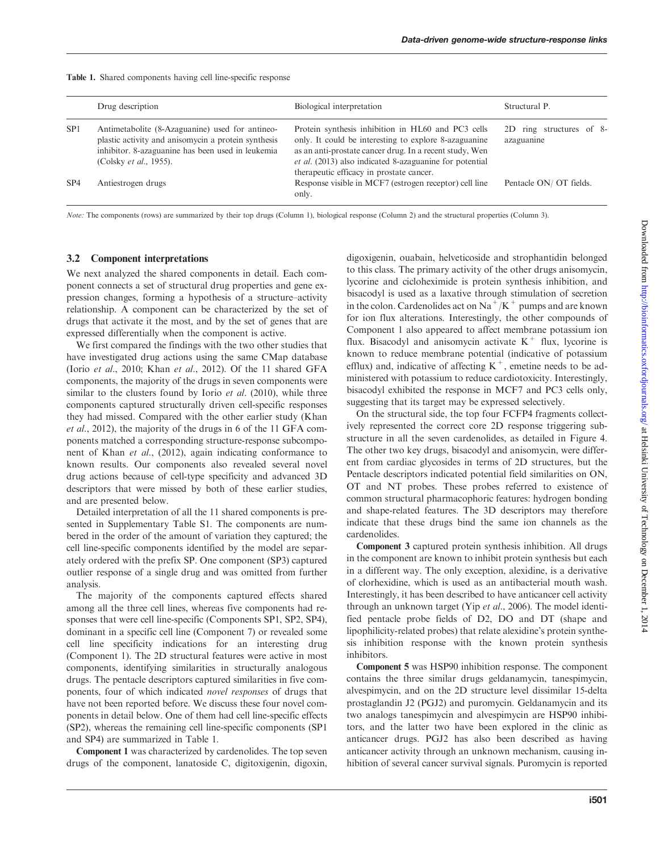|                 | Drug description                                                                                                                                                                              | Biological interpretation                                                                                                                                                                                                                                                            | Structural P.                          |
|-----------------|-----------------------------------------------------------------------------------------------------------------------------------------------------------------------------------------------|--------------------------------------------------------------------------------------------------------------------------------------------------------------------------------------------------------------------------------------------------------------------------------------|----------------------------------------|
| SP <sub>1</sub> | Antimetabolite (8-Azaguanine) used for antineo-<br>plastic activity and anisomycin a protein synthesis<br>inhibitor. 8-azaguanine has been used in leukemia<br>(Colsky <i>et al.</i> , 1955). | Protein synthesis inhibition in HL60 and PC3 cells<br>only. It could be interesting to explore 8-azaguanine<br>as an anti-prostate cancer drug. In a recent study, Wen<br><i>et al.</i> (2013) also indicated 8-azaguanine for potential<br>therapeutic efficacy in prostate cancer. | 2D ring structures of 8-<br>azaguanine |
| SP4             | Antiestrogen drugs                                                                                                                                                                            | Response visible in MCF7 (estrogen receptor) cell line<br>only.                                                                                                                                                                                                                      | Pentacle ON/ OT fields.                |

#### Table 1. Shared components having cell line-specific response

Note: The components (rows) are summarized by their top drugs (Column 1), biological response (Column 2) and the structural properties (Column 3).

### 3.2 Component interpretations

We next analyzed the shared components in detail. Each component connects a set of structural drug properties and gene expression changes, forming a hypothesis of a structure–activity relationship. A component can be characterized by the set of drugs that activate it the most, and by the set of genes that are expressed differentially when the component is active.

We first compared the findings with the two other studies that have investigated drug actions using the same CMap database (Iorio et al.[, 2010](#page-7-0); Khan et al[., 2012](#page-7-0)). Of the 11 shared GFA components, the majority of the drugs in seven components were similar to the clusters found by Iorio  $et$  al. [\(2010\),](#page-7-0) while three components captured structurally driven cell-specific responses they had missed. Compared with the other earlier study [\(Khan](#page-7-0) et al[., 2012](#page-7-0)), the majority of the drugs in 6 of the 11 GFA components matched a corresponding structure-response subcomponent of Khan et al[., \(2012\)](#page-7-0), again indicating conformance to known results. Our components also revealed several novel drug actions because of cell-type specificity and advanced 3D descriptors that were missed by both of these earlier studies, and are presented below.

Detailed interpretation of all the 11 shared components is presented in [Supplementary Table S1.](http://bioinformatics.oxfordjournals.org/lookup/suppl/doi:10.1093/bioinformatics/btu456/-/DC1) The components are numbered in the order of the amount of variation they captured; the cell line-specific components identified by the model are separately ordered with the prefix SP. One component (SP3) captured outlier response of a single drug and was omitted from further analysis.

The majority of the components captured effects shared among all the three cell lines, whereas five components had responses that were cell line-specific (Components SP1, SP2, SP4), dominant in a specific cell line (Component 7) or revealed some cell line specificity indications for an interesting drug (Component 1). The 2D structural features were active in most components, identifying similarities in structurally analogous drugs. The pentacle descriptors captured similarities in five components, four of which indicated novel responses of drugs that have not been reported before. We discuss these four novel components in detail below. One of them had cell line-specific effects (SP2), whereas the remaining cell line-specific components (SP1 and SP4) are summarized in Table 1.

Component 1 was characterized by cardenolides. The top seven drugs of the component, lanatoside C, digitoxigenin, digoxin,

digoxigenin, ouabain, helveticoside and strophantidin belonged to this class. The primary activity of the other drugs anisomycin, lycorine and cicloheximide is protein synthesis inhibition, and bisacodyl is used as a laxative through stimulation of secretion in the colon. Cardenolides act on  $\text{Na}^+/\text{K}^+$  pumps and are known for ion flux alterations. Interestingly, the other compounds of Component 1 also appeared to affect membrane potassium ion flux. Bisacodyl and anisomycin activate  $K^+$  flux, lycorine is known to reduce membrane potential (indicative of potassium efflux) and, indicative of affecting  $K^+$ , emetine needs to be administered with potassium to reduce cardiotoxicity. Interestingly, bisacodyl exhibited the response in MCF7 and PC3 cells only, suggesting that its target may be expressed selectively.

On the structural side, the top four FCFP4 fragments collectively represented the correct core 2D response triggering substructure in all the seven cardenolides, as detailed in [Figure 4](#page-5-0). The other two key drugs, bisacodyl and anisomycin, were different from cardiac glycosides in terms of 2D structures, but the Pentacle descriptors indicated potential field similarities on ON, OT and NT probes. These probes referred to existence of common structural pharmacophoric features: hydrogen bonding and shape-related features. The 3D descriptors may therefore indicate that these drugs bind the same ion channels as the cardenolides.

Component 3 captured protein synthesis inhibition. All drugs in the component are known to inhibit protein synthesis but each in a different way. The only exception, alexidine, is a derivative of clorhexidine, which is used as an antibacterial mouth wash. Interestingly, it has been described to have anticancer cell activity through an unknown target (Yip et al[., 2006](#page-7-0)). The model identified pentacle probe fields of D2, DO and DT (shape and lipophilicity-related probes) that relate alexidine's protein synthesis inhibition response with the known protein synthesis inhibitors.

Component 5 was HSP90 inhibition response. The component contains the three similar drugs geldanamycin, tanespimycin, alvespimycin, and on the 2D structure level dissimilar 15-delta prostaglandin J2 (PGJ2) and puromycin. Geldanamycin and its two analogs tanespimycin and alvespimycin are HSP90 inhibitors, and the latter two have been explored in the clinic as anticancer drugs. PGJ2 has also been described as having anticancer activity through an unknown mechanism, causing inhibition of several cancer survival signals. Puromycin is reported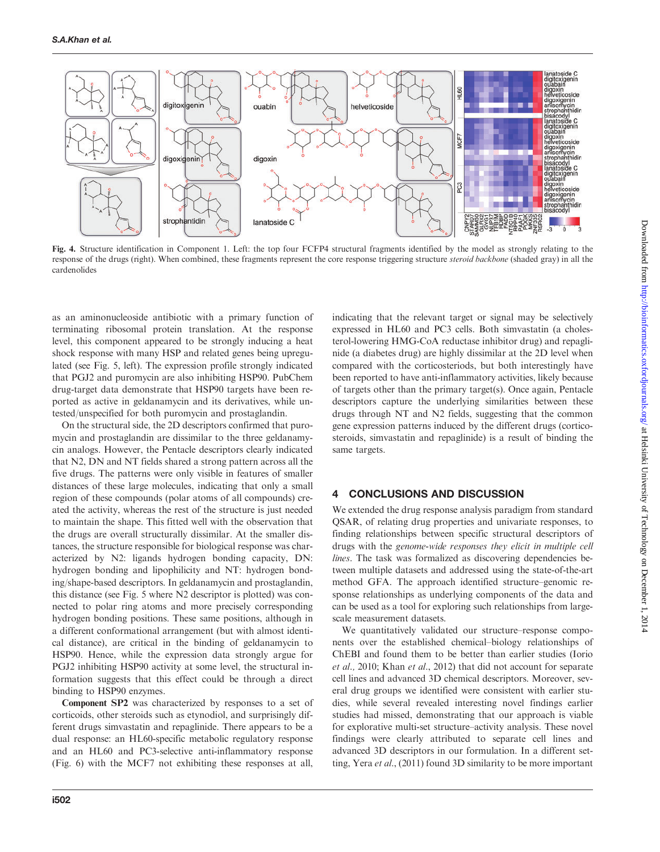<span id="page-5-0"></span>

Fig. 4. Structure identification in Component 1. Left: the top four FCFP4 structural fragments identified by the model as strongly relating to the response of the drugs (right). When combined, these fragments represent the core response triggering structure steroid backbone (shaded gray) in all the cardenolides

as an aminonucleoside antibiotic with a primary function of terminating ribosomal protein translation. At the response level, this component appeared to be strongly inducing a heat shock response with many HSP and related genes being upregulated (see [Fig. 5](#page-6-0), left). The expression profile strongly indicated that PGJ2 and puromycin are also inhibiting HSP90. PubChem drug-target data demonstrate that HSP90 targets have been reported as active in geldanamycin and its derivatives, while untested/unspecified for both puromycin and prostaglandin.

On the structural side, the 2D descriptors confirmed that puromycin and prostaglandin are dissimilar to the three geldanamycin analogs. However, the Pentacle descriptors clearly indicated that N2, DN and NT fields shared a strong pattern across all the five drugs. The patterns were only visible in features of smaller distances of these large molecules, indicating that only a small region of these compounds (polar atoms of all compounds) created the activity, whereas the rest of the structure is just needed to maintain the shape. This fitted well with the observation that the drugs are overall structurally dissimilar. At the smaller distances, the structure responsible for biological response was characterized by N2: ligands hydrogen bonding capacity, DN: hydrogen bonding and lipophilicity and NT: hydrogen bonding/shape-based descriptors. In geldanamycin and prostaglandin, this distance (see [Fig. 5](#page-6-0) where N2 descriptor is plotted) was connected to polar ring atoms and more precisely corresponding hydrogen bonding positions. These same positions, although in a different conformational arrangement (but with almost identical distance), are critical in the binding of geldanamycin to HSP90. Hence, while the expression data strongly argue for PGJ2 inhibiting HSP90 activity at some level, the structural information suggests that this effect could be through a direct binding to HSP90 enzymes.

Component SP2 was characterized by responses to a set of corticoids, other steroids such as etynodiol, and surprisingly different drugs simvastatin and repaglinide. There appears to be a dual response: an HL60-specific metabolic regulatory response and an HL60 and PC3-selective anti-inflammatory response [\(Fig. 6\)](#page-6-0) with the MCF7 not exhibiting these responses at all,

indicating that the relevant target or signal may be selectively expressed in HL60 and PC3 cells. Both simvastatin (a cholesterol-lowering HMG-CoA reductase inhibitor drug) and repaglinide (a diabetes drug) are highly dissimilar at the 2D level when compared with the corticosteriods, but both interestingly have been reported to have anti-inflammatory activities, likely because of targets other than the primary target(s). Once again, Pentacle descriptors capture the underlying similarities between these drugs through NT and N2 fields, suggesting that the common gene expression patterns induced by the different drugs (corticosteroids, simvastatin and repaglinide) is a result of binding the same targets.

## 4 CONCLUSIONS AND DISCUSSION

We extended the drug response analysis paradigm from standard QSAR, of relating drug properties and univariate responses, to finding relationships between specific structural descriptors of drugs with the genome-wide responses they elicit in multiple cell lines. The task was formalized as discovering dependencies between multiple datasets and addressed using the state-of-the-art method GFA. The approach identified structure–genomic response relationships as underlying components of the data and can be used as a tool for exploring such relationships from largescale measurement datasets.

We quantitatively validated our structure–response components over the established chemical–biology relationships of ChEBI and found them to be better than earlier studies ([Iorio](#page-7-0) [et al.,](#page-7-0) 2010; Khan et al[., 2012\)](#page-7-0) that did not account for separate cell lines and advanced 3D chemical descriptors. Moreover, several drug groups we identified were consistent with earlier studies, while several revealed interesting novel findings earlier studies had missed, demonstrating that our approach is viable for explorative multi-set structure–activity analysis. These novel findings were clearly attributed to separate cell lines and advanced 3D descriptors in our formulation. In a different setting, Yera et al[., \(2011\)](#page-7-0) found 3D similarity to be more important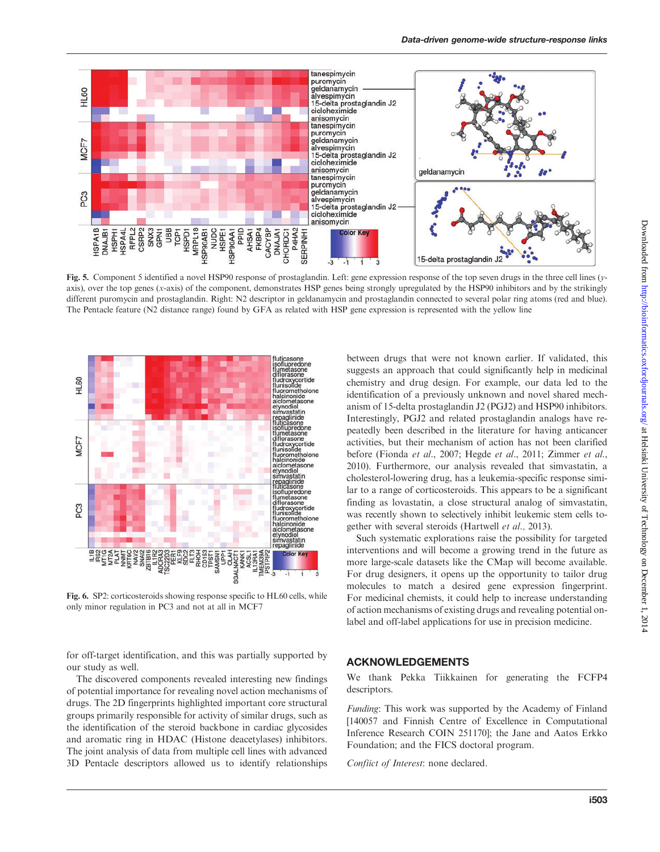<span id="page-6-0"></span>

Fig. 5. Component 5 identified a novel HSP90 response of prostaglandin. Left: gene expression response of the top seven drugs in the three cell lines (yaxis), over the top genes (x-axis) of the component, demonstrates HSP genes being strongly upregulated by the HSP90 inhibitors and by the strikingly different puromycin and prostaglandin. Right: N2 descriptor in geldanamycin and prostaglandin connected to several polar ring atoms (red and blue). The Pentacle feature (N2 distance range) found by GFA as related with HSP gene expression is represented with the yellow line



Fig. 6. SP2: corticosteroids showing response specific to HL60 cells, while only minor regulation in PC3 and not at all in MCF7

for off-target identification, and this was partially supported by our study as well.

The discovered components revealed interesting new findings of potential importance for revealing novel action mechanisms of drugs. The 2D fingerprints highlighted important core structural groups primarily responsible for activity of similar drugs, such as the identification of the steroid backbone in cardiac glycosides and aromatic ring in HDAC (Histone deacetylases) inhibitors. The joint analysis of data from multiple cell lines with advanced 3D Pentacle descriptors allowed us to identify relationships

between drugs that were not known earlier. If validated, this suggests an approach that could significantly help in medicinal chemistry and drug design. For example, our data led to the identification of a previously unknown and novel shared mechanism of 15-delta prostaglandin J2 (PGJ2) and HSP90 inhibitors. Interestingly, PGJ2 and related prostaglandin analogs have repeatedly been described in the literature for having anticancer activities, but their mechanism of action has not been clarified before [\(Fionda](#page-7-0) et al., 2007; [Hegde](#page-7-0) et al., 2011; [Zimmer](#page-7-0) et al., [2010](#page-7-0)). Furthermore, our analysis revealed that simvastatin, a cholesterol-lowering drug, has a leukemia-specific response similar to a range of corticosteroids. This appears to be a significant finding as lovastatin, a close structural analog of simvastatin, was recently shown to selectively inhibit leukemic stem cells together with several steroids [\(Hartwell](#page-7-0) et al., 2013).

Such systematic explorations raise the possibility for targeted interventions and will become a growing trend in the future as more large-scale datasets like the CMap will become available. For drug designers, it opens up the opportunity to tailor drug molecules to match a desired gene expression fingerprint. For medicinal chemists, it could help to increase understanding of action mechanisms of existing drugs and revealing potential onlabel and off-label applications for use in precision medicine.

## ACKNOWLEDGEMENTS

We thank Pekka Tiikkainen for generating the FCFP4 descriptors.

Funding: This work was supported by the Academy of Finland [140057 and Finnish Centre of Excellence in Computational Inference Research COIN 251170]; the Jane and Aatos Erkko Foundation; and the FICS doctoral program.

Confiict of Interest: none declared.